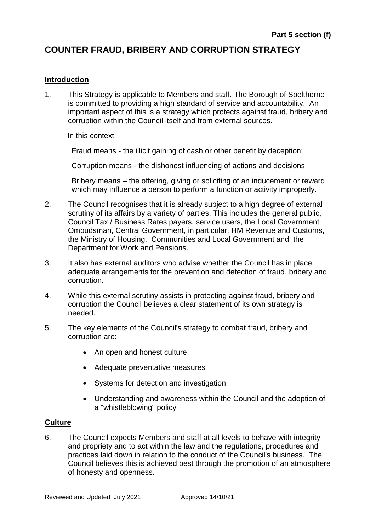# **COUNTER FRAUD, BRIBERY AND CORRUPTION STRATEGY**

## **Introduction**

1. This Strategy is applicable to Members and staff. The Borough of Spelthorne is committed to providing a high standard of service and accountability. An important aspect of this is a strategy which protects against fraud, bribery and corruption within the Council itself and from external sources.

In this context

Fraud means - the illicit gaining of cash or other benefit by deception;

Corruption means - the dishonest influencing of actions and decisions.

Bribery means – the offering, giving or soliciting of an inducement or reward which may influence a person to perform a function or activity improperly.

- 2. The Council recognises that it is already subject to a high degree of external scrutiny of its affairs by a variety of parties. This includes the general public, Council Tax / Business Rates payers, service users, the Local Government Ombudsman, Central Government, in particular, HM Revenue and Customs, the Ministry of Housing, Communities and Local Government and the Department for Work and Pensions.
- 3. It also has external auditors who advise whether the Council has in place adequate arrangements for the prevention and detection of fraud, bribery and corruption.
- 4. While this external scrutiny assists in protecting against fraud, bribery and corruption the Council believes a clear statement of its own strategy is needed.
- 5. The key elements of the Council's strategy to combat fraud, bribery and corruption are:
	- An open and honest culture
	- Adequate preventative measures
	- Systems for detection and investigation
	- Understanding and awareness within the Council and the adoption of a "whistleblowing" policy

### **Culture**

6. The Council expects Members and staff at all levels to behave with integrity and propriety and to act within the law and the regulations, procedures and practices laid down in relation to the conduct of the Council's business. The Council believes this is achieved best through the promotion of an atmosphere of honesty and openness.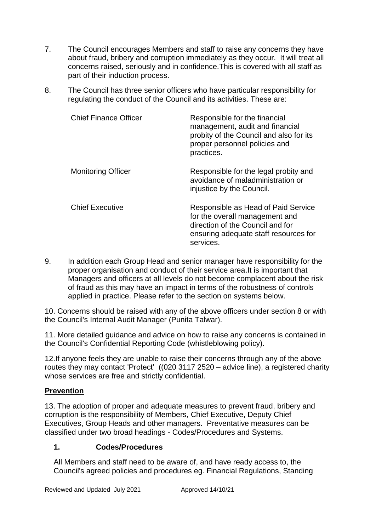- 7. The Council encourages Members and staff to raise any concerns they have about fraud, bribery and corruption immediately as they occur. It will treat all concerns raised, seriously and in confidence.This is covered with all staff as part of their induction process.
- 8. The Council has three senior officers who have particular responsibility for regulating the conduct of the Council and its activities. These are:

| <b>Chief Finance Officer</b> | Responsible for the financial<br>management, audit and financial<br>probity of the Council and also for its<br>proper personnel policies and<br>practices.      |
|------------------------------|-----------------------------------------------------------------------------------------------------------------------------------------------------------------|
| <b>Monitoring Officer</b>    | Responsible for the legal probity and<br>avoidance of maladministration or<br>injustice by the Council.                                                         |
| <b>Chief Executive</b>       | Responsible as Head of Paid Service<br>for the overall management and<br>direction of the Council and for<br>ensuring adequate staff resources for<br>services. |

9. In addition each Group Head and senior manager have responsibility for the proper organisation and conduct of their service area.It is important that Managers and officers at all levels do not become complacent about the risk of fraud as this may have an impact in terms of the robustness of controls applied in practice. Please refer to the section on systems below.

10. Concerns should be raised with any of the above officers under section 8 or with the Council's Internal Audit Manager (Punita Talwar).

11. More detailed guidance and advice on how to raise any concerns is contained in the Council's Confidential Reporting Code (whistleblowing policy).

12.If anyone feels they are unable to raise their concerns through any of the above routes they may contact 'Protect' ((020 3117 2520 – advice line), a registered charity whose services are free and strictly confidential.

## **Prevention**

13. The adoption of proper and adequate measures to prevent fraud, bribery and corruption is the responsibility of Members, Chief Executive, Deputy Chief Executives, Group Heads and other managers. Preventative measures can be classified under two broad headings - Codes/Procedures and Systems.

## **1. Codes/Procedures**

All Members and staff need to be aware of, and have ready access to, the Council's agreed policies and procedures eg. Financial Regulations, Standing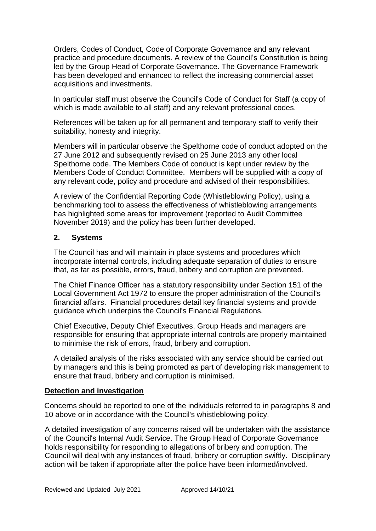Orders, Codes of Conduct, Code of Corporate Governance and any relevant practice and procedure documents. A review of the Council's Constitution is being led by the Group Head of Corporate Governance. The Governance Framework has been developed and enhanced to reflect the increasing commercial asset acquisitions and investments.

In particular staff must observe the Council's Code of Conduct for Staff (a copy of which is made available to all staff) and any relevant professional codes.

References will be taken up for all permanent and temporary staff to verify their suitability, honesty and integrity.

Members will in particular observe the Spelthorne code of conduct adopted on the 27 June 2012 and subsequently revised on 25 June 2013 any other local Spelthorne code. The Members Code of conduct is kept under review by the Members Code of Conduct Committee. Members will be supplied with a copy of any relevant code, policy and procedure and advised of their responsibilities.

A review of the Confidential Reporting Code (Whistleblowing Policy), using a benchmarking tool to assess the effectiveness of whistleblowing arrangements has highlighted some areas for improvement (reported to Audit Committee November 2019) and the policy has been further developed.

## **2. Systems**

The Council has and will maintain in place systems and procedures which incorporate internal controls, including adequate separation of duties to ensure that, as far as possible, errors, fraud, bribery and corruption are prevented.

The Chief Finance Officer has a statutory responsibility under Section 151 of the Local Government Act 1972 to ensure the proper administration of the Council's financial affairs. Financial procedures detail key financial systems and provide guidance which underpins the Council's Financial Regulations.

Chief Executive, Deputy Chief Executives, Group Heads and managers are responsible for ensuring that appropriate internal controls are properly maintained to minimise the risk of errors, fraud, bribery and corruption.

A detailed analysis of the risks associated with any service should be carried out by managers and this is being promoted as part of developing risk management to ensure that fraud, bribery and corruption is minimised.

### **Detection and investigation**

Concerns should be reported to one of the individuals referred to in paragraphs 8 and 10 above or in accordance with the Council's whistleblowing policy.

A detailed investigation of any concerns raised will be undertaken with the assistance of the Council's Internal Audit Service. The Group Head of Corporate Governance holds responsibility for responding to allegations of bribery and corruption. The Council will deal with any instances of fraud, bribery or corruption swiftly. Disciplinary action will be taken if appropriate after the police have been informed/involved.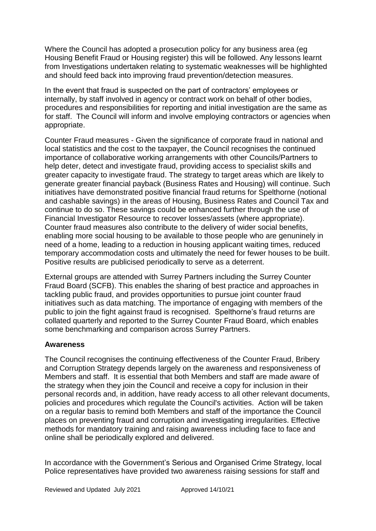Where the Council has adopted a prosecution policy for any business area (eg Housing Benefit Fraud or Housing register) this will be followed. Any lessons learnt from Investigations undertaken relating to systematic weaknesses will be highlighted and should feed back into improving fraud prevention/detection measures.

In the event that fraud is suspected on the part of contractors' employees or internally, by staff involved in agency or contract work on behalf of other bodies, procedures and responsibilities for reporting and initial investigation are the same as for staff. The Council will inform and involve employing contractors or agencies when appropriate.

Counter Fraud measures - Given the significance of corporate fraud in national and local statistics and the cost to the taxpayer, the Council recognises the continued importance of collaborative working arrangements with other Councils/Partners to help deter, detect and investigate fraud, providing access to specialist skills and greater capacity to investigate fraud. The strategy to target areas which are likely to generate greater financial payback (Business Rates and Housing) will continue. Such initiatives have demonstrated positive financial fraud returns for Spelthorne (notional and cashable savings) in the areas of Housing, Business Rates and Council Tax and continue to do so. These savings could be enhanced further through the use of Financial Investigator Resource to recover losses/assets (where appropriate). Counter fraud measures also contribute to the delivery of wider social benefits, enabling more social housing to be available to those people who are genuninely in need of a home, leading to a reduction in housing applicant waiting times, reduced temporary accommodation costs and ultimately the need for fewer houses to be built. Positive results are publicised periodically to serve as a deterrent.

External groups are attended with Surrey Partners including the Surrey Counter Fraud Board (SCFB). This enables the sharing of best practice and approaches in tackling public fraud, and provides opportunities to pursue joint counter fraud initiatives such as data matching. The importance of engaging with members of the public to join the fight against fraud is recognised. Spelthorne's fraud returns are collated quarterly and reported to the Surrey Counter Fraud Board, which enables some benchmarking and comparison across Surrey Partners.

### **Awareness**

The Council recognises the continuing effectiveness of the Counter Fraud, Bribery and Corruption Strategy depends largely on the awareness and responsiveness of Members and staff. It is essential that both Members and staff are made aware of the strategy when they join the Council and receive a copy for inclusion in their personal records and, in addition, have ready access to all other relevant documents, policies and procedures which regulate the Council's activities. Action will be taken on a regular basis to remind both Members and staff of the importance the Council places on preventing fraud and corruption and investigating irregularities. Effective methods for mandatory training and raising awareness including face to face and online shall be periodically explored and delivered.

In accordance with the Government's Serious and Organised Crime Strategy, local Police representatives have provided two awareness raising sessions for staff and